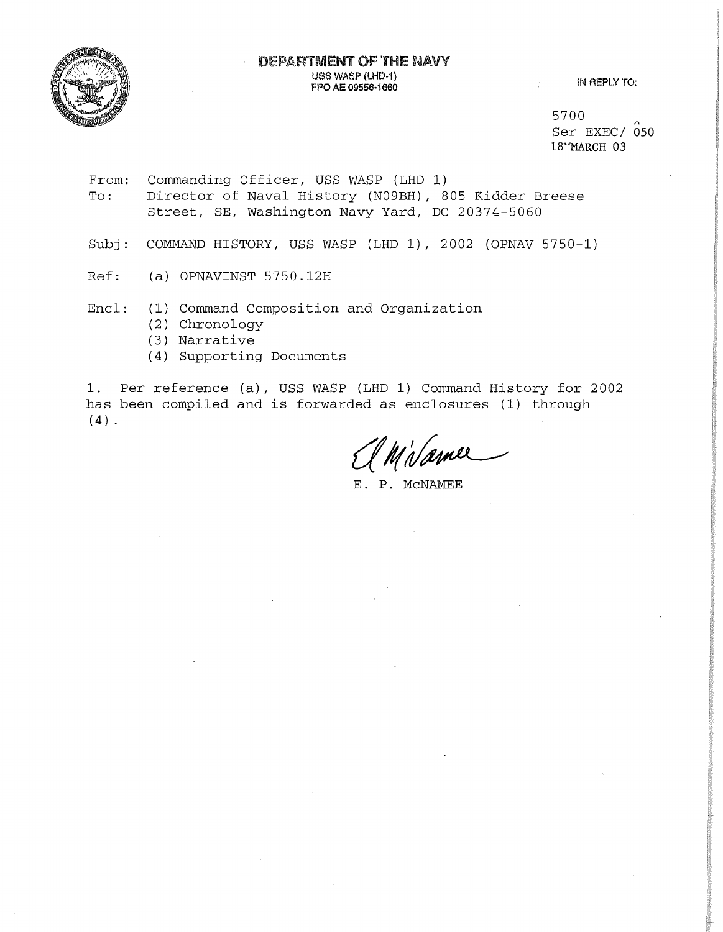

5700  $Ser$  EXEC/  $050$ 18"MARCH 03

From: To: Commanding Officer, USS WASP (LHD 1) Director of Naval History (N09BH), 805 Kidder Breese Street, SE, Washington Navy Yard, DC 20374-5060

Subj: COMMAND HISTORY, USS WASP (LHD 1), 2002 (OPNAV 5750-1)

Ref: (a) OPNAVINST 5750.12H

Encl: (1) Command Composition and Organization

- (2) Chronology
- (3) Narrative
- (4) Supporting Documents

1. Per reference (a), USS WASP (LHD 1) Command History for 2002 has been compiled and is forwarded as enclosures (1) through  $(4)$ .

Milamer

E. P. MCNAMEE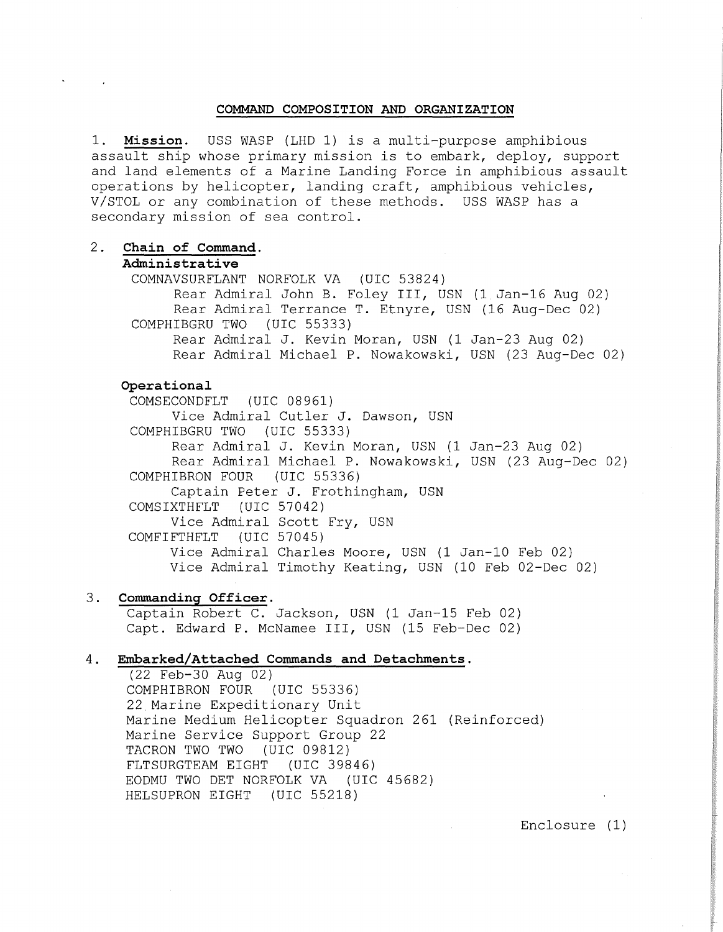#### **COMMAND COMPOSITION AND ORGANIZATION**

1. **Mission.** USS WASP (LHD 1) is a multi-purpose amphibious assault ship whose primary mission is to embark, deploy, support and land elements of a Marine Landing Force in amphibious assault operations by helicopter, landing craft, amphibious vehicles, V/STOL or any combination of these methods. USS WASP has a secondary mission of sea control.

2. **Chain of Command.** 

## **Administrative**

COMNAVSURFLANT NORFOLK VA (UIC 53824) Rear Admiral John B. Foley III, USN (1 Jan-16 Aug 02) Rear Admiral Terrance T. Etnyre, USN (16 Aug-Dec 02) COMPHIBGRU TWO (UIC 55333) Rear Admiral J. Kevin Moran, USN (1 Jan-23 Aug 02) Rear Admiral Michael P. Nowakowski, USN (23 Aug-Dec 02)

# **Operational**

COMSECONDFLT (UIC 08961) Vice Admiral Cutler J. Dawson, USN COMPHIBGRU TWO (UIC 55333) Rear Admiral J. Kevin Moran, USN (1 Jan-23 Aug 02) Rear Admiral Michael P. Nowakowski, USN (23 Aug-Dec 02) COMPHIBRON FOUR (UIC 55336) Captain Peter J. Frothingham, USN COMSIXTHFLT (UIC 57042) Vice Admiral Scott Fry, USN COMFIFTHFLT (UIC 57045) Vice Admiral Charles Moore, USN (1 Jan-10 Feb 02) Vice Admiral Timothy Keating, USN (10 Feb 02-Dec 02)

# 3. **Commanding Officer.**

Captain Robert C. Jackson, USN (1 Jan-15 Feb 02) Capt. Edward P. McNamee III, USN (15 Feb-Dec 02)

# 4. **Embarked/Attached Commands and Detachments.**

(22 Feb-30 Aug 02) COMPHIBRON FOUR (UIC 55336) 22 Marine Expeditionary Unit Marine Medium Helicopter Squadron 261 (Reinforced) Marine Service Support Group 22<br>TACRON TWO TWO (UIC 09812) TACRON TWO TWO FLTSURGTEAM EIGHT (UIC 39846) EODMU TWO DET NORFOLK VA (UIC 45682) HELSUPRON EIGHT (UIC 55218)

Enclosure (1)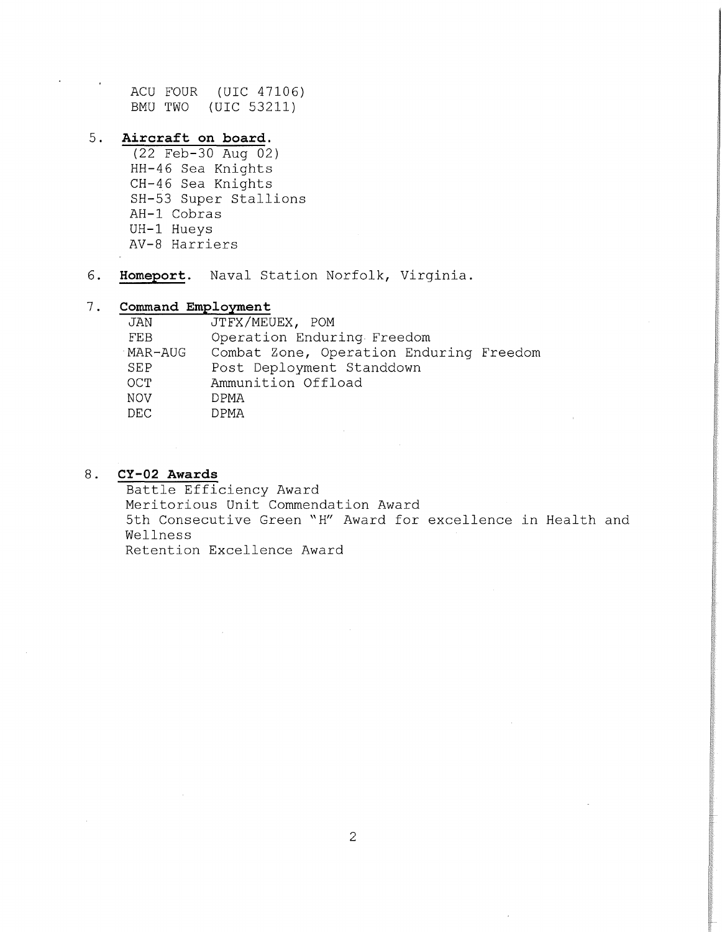ACU FOUR (UIC 47106) BMU TWO (UIC 53211)

# 5. **Aircraft on board.**

(22 Feb-30 Aug 02) HH-46 Sea Knights CH-46 Sea Knights SH-53 Super Stallions AH-1 Cobras UH-1 Hueys AV-8 Harriers

6. **Homeport.** Naval Station Norfolk, Virginia.

# 7. **Command Employment**

| JAN        | JTFX/MEUEX, POM                         |  |  |  |
|------------|-----------------------------------------|--|--|--|
| <b>FEB</b> | Operation Enduring Freedom              |  |  |  |
| MAR-AUG    | Combat Zone, Operation Enduring Freedom |  |  |  |
| SEP        | Post Deployment Standdown               |  |  |  |
| OCT.       | Ammunition Offload                      |  |  |  |
| NOV        | DPMA                                    |  |  |  |
| DEC        | DPMA                                    |  |  |  |

# 8. **CY-02 Awards**

Battle Efficiency Award Meritorious Unit Commendation Award 5th Consecutive Green "H" Award for excellence in Health and Wellness Retention Excellence Award

2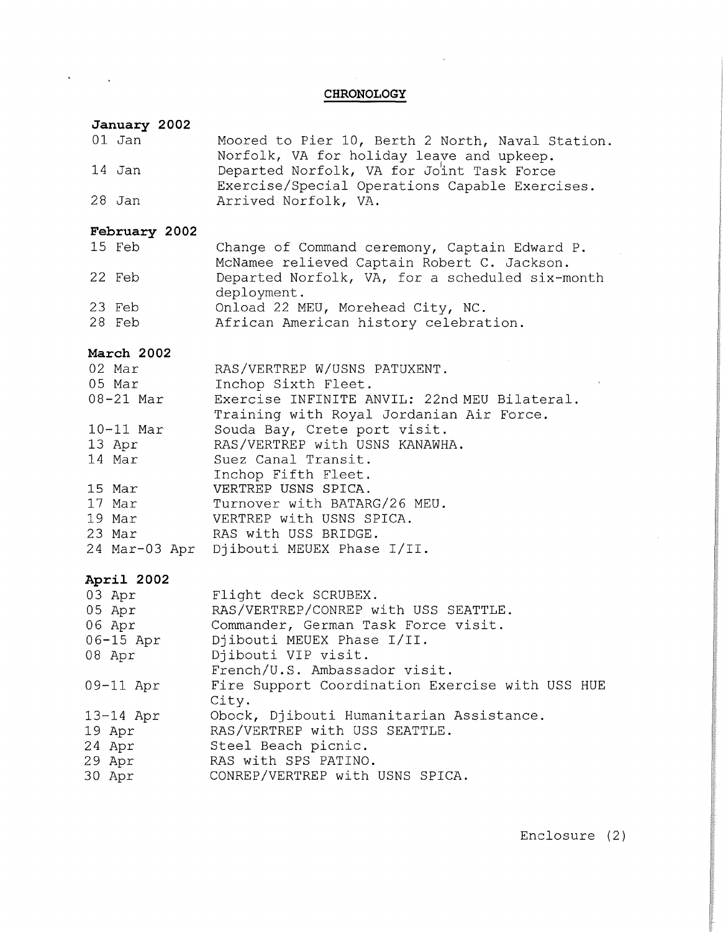## **CHRONOLOGY**

### **January 2002**

 $\bar{\star}$ 

 $\sim 10$ 

| 01 Jan        | Moored to Pier 10, Berth 2 North, Naval Station.                                                                                         |
|---------------|------------------------------------------------------------------------------------------------------------------------------------------|
| 14 Jan        | Norfolk, VA for holiday leave and upkeep.<br>Departed Norfolk, VA for Joint Task Force<br>Exercise/Special Operations Capable Exercises. |
| 28 Jan        | Arrived Norfolk, VA.                                                                                                                     |
| February 2002 |                                                                                                                                          |
| 15 Feb        | Change of Command ceremony, Captain Edward P.<br>McNamee relieved Captain Robert C. Jackson.                                             |
| 22 Feb        | Departed Norfolk, VA, for a scheduled six-month<br>deployment.                                                                           |
| 23 Feb        | Onload 22 MEU, Morehead City, NC.                                                                                                        |
| 28 Feb        | African American history celebration.                                                                                                    |
| March 2002    |                                                                                                                                          |
| 02 Mar        | RAS/VERTREP W/USNS PATUXENT.                                                                                                             |
| 05 Mar        | Inchop Sixth Fleet.                                                                                                                      |
| 08-21 Mar     | Exercise INFINITE ANVIL: 22nd MEU Bilateral.                                                                                             |
|               | Training with Royal Jordanian Air Force.                                                                                                 |
| $10-11$ Mar   | Souda Bay, Crete port visit.                                                                                                             |
| 13 Apr        | RAS/VERTREP with USNS KANAWHA.                                                                                                           |
| 14 Mar        | Suez Canal Transit.<br>Inchop Fifth Fleet.                                                                                               |
| 15 Mar        | VERTREP USNS SPICA.                                                                                                                      |
| 17 Mar        | Turnover with BATARG/26 MEU.                                                                                                             |
| 19 Mar        | VERTREP with USNS SPICA.                                                                                                                 |
| 23 Mar        | RAS with USS BRIDGE.                                                                                                                     |
| 24 Mar-03 Apr | Djibouti MEUEX Phase I/II.                                                                                                               |
| April 2002    |                                                                                                                                          |
| 03 Apr        | Flight deck SCRUBEX.                                                                                                                     |
| 05 Apr        | RAS/VERTREP/CONREP with USS SEATTLE.                                                                                                     |
| 06 Apr        | Commander, German Task Force visit.                                                                                                      |
| 06-15 Apr     | Djibouti MEUEX Phase I/II.                                                                                                               |
| 08 Apr        | Djibouti VIP visit.                                                                                                                      |
|               | French/U.S. Ambassador visit.                                                                                                            |

09-11 Apr 13-14 Apr Fire Support Coordination Exercise with USS HUE City. Obock, Djibouti Humanitarian Assistance.

RAS/VERTREP with USS SEATTLE.

19 Apr 24 Apr Steel Beach picnic.

29 Apr RAS with SPS PATINO.

30 Apr CONREP/VERTREP with USNS SPICA.

Enclosure (2)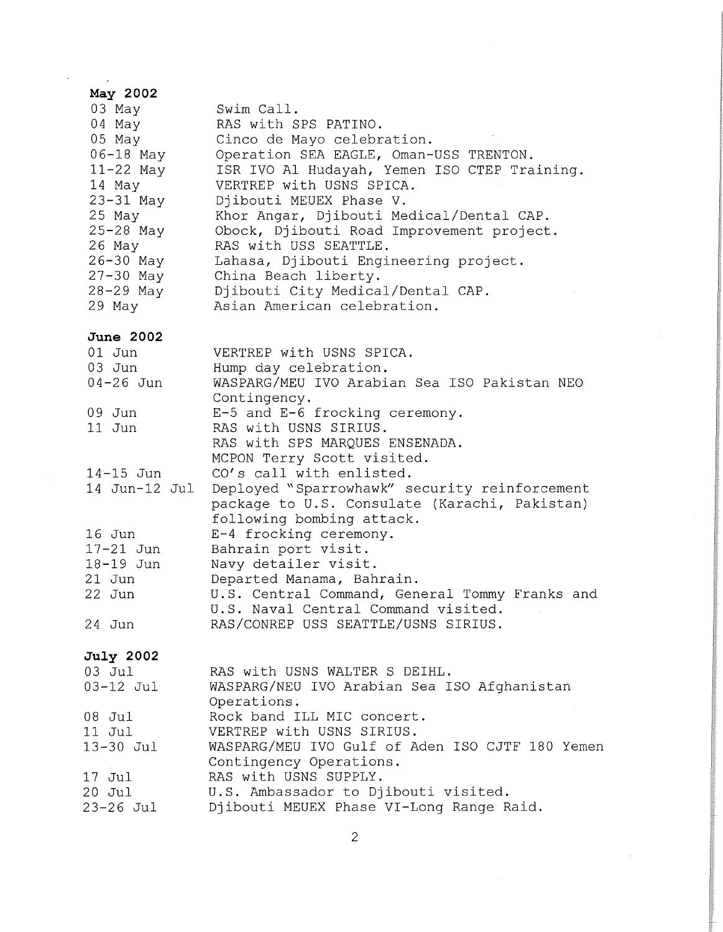| May 2002         |                                                                                                                             |
|------------------|-----------------------------------------------------------------------------------------------------------------------------|
| 03 May           | Swim Call.                                                                                                                  |
| 04 May           | RAS with SPS PATINO.                                                                                                        |
| 05 May           | Cinco de Mayo celebration.                                                                                                  |
| $06 - 18$ May    | Operation SEA EAGLE, Oman-USS TRENTON.                                                                                      |
| $11-22$ May      | ISR IVO Al Hudayah, Yemen ISO CTEP Training.                                                                                |
| 14 May           | VERTREP with USNS SPICA.                                                                                                    |
| $23-31$ May      | Djibouti MEUEX Phase V.                                                                                                     |
| 25 May           | Khor Angar, Djibouti Medical/Dental CAP.                                                                                    |
| $25 - 28$ May    | Obock, Djibouti Road Improvement project.                                                                                   |
| $26$ May         | RAS with USS SEATTLE.                                                                                                       |
| 26-30 May        | Lahasa, Djibouti Engineering project.                                                                                       |
| $27 - 30$ May    | China Beach liberty.                                                                                                        |
| 28-29 May        | Djibouti City Medical/Dental CAP.                                                                                           |
| 29 May           | Asian American celebration.                                                                                                 |
|                  |                                                                                                                             |
| <b>June 2002</b> |                                                                                                                             |
| $01$ Jun         | VERTREP with USNS SPICA.                                                                                                    |
| $03$ Jun         | Hump day celebration.                                                                                                       |
| $04 - 26$ Jun    | WASPARG/MEU IVO Arabian Sea ISO Pakistan NEO                                                                                |
|                  | Contingency.                                                                                                                |
| 09 Jun           | E-5 and E-6 frocking ceremony.                                                                                              |
| $11$ Jun         | RAS with USNS SIRIUS.                                                                                                       |
|                  | RAS with SPS MARQUES ENSENADA.                                                                                              |
|                  | MCPON Terry Scott visited.                                                                                                  |
| $14 - 15$ Jun    | CO's call with enlisted.                                                                                                    |
| 14 Jun-12 Jul    | Deployed "Sparrowhawk" security reinforcement<br>package to U.S. Consulate (Karachi, Pakistan)<br>following bombing attack. |
| $16$ Jun         | E-4 frocking ceremony.                                                                                                      |
| $17-21$ Jun      | Bahrain port visit.                                                                                                         |
| 18-19 Jun        | Navy detailer visit.                                                                                                        |
| 21 Jun           | Departed Manama, Bahrain.                                                                                                   |
| 22 Jun           | U.S. Central Command, General Tommy Franks and                                                                              |
|                  | U.S. Naval Central Command visited.                                                                                         |
| 24 Jun           | RAS/CONREP USS SEATTLE/USNS SIRIUS.                                                                                         |
|                  |                                                                                                                             |
| July 2002        |                                                                                                                             |
| 03 Jul           | RAS with USNS WALTER S DEIHL.                                                                                               |
| 03-12 Jul        | WASPARG/NEU IVO Arabian Sea ISO Afghanistan                                                                                 |
|                  | Operations.                                                                                                                 |
| 08 Jul           | Rock band ILL MIC concert.                                                                                                  |
| 11 Jul           | VERTREP with USNS SIRIUS.                                                                                                   |
| 13-30 Jul        | WASPARG/MEU IVO Gulf of Aden ISO CJTF 180 Yemen                                                                             |
|                  | Contingency Operations.                                                                                                     |
| 17 Jul           | RAS with USNS SUPPLY.                                                                                                       |
| 20 Jul           | U.S. Ambassador to Djibouti visited.                                                                                        |
| 23–26 Jul        | Djibouti MEUEX Phase VI-Long Range Raid.                                                                                    |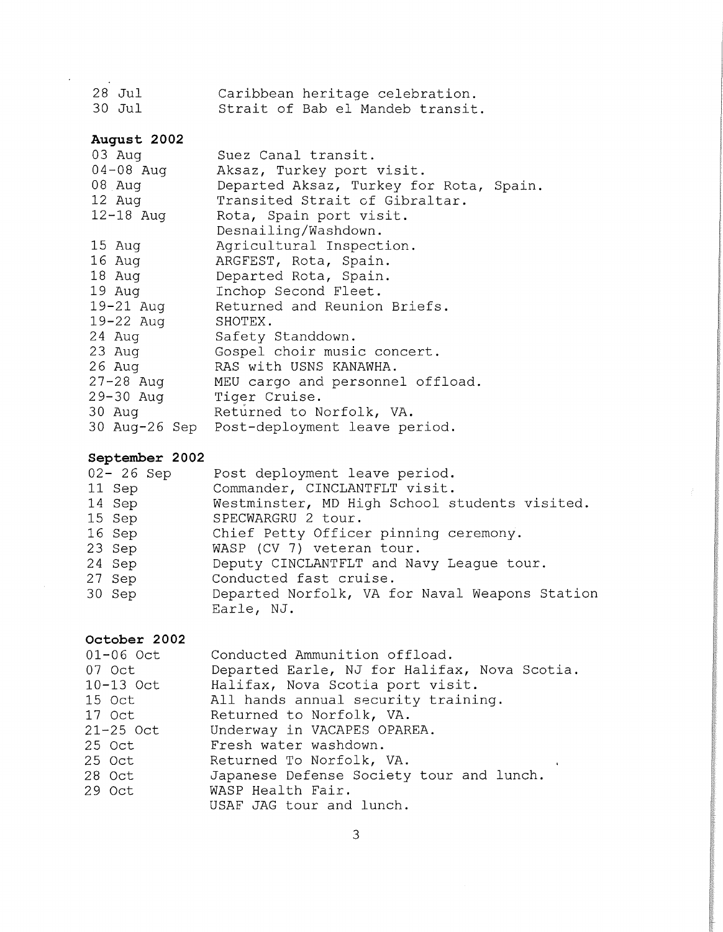| $28$ Jul |  |  | Caribbean heritage celebration.  |
|----------|--|--|----------------------------------|
| 30 Jul   |  |  | Strait of Bab el Mandeb transit. |

# **August 2002**

 $\ddot{\phantom{0}}$ 

| 03 Aug        | Suez Canal transit.                         |
|---------------|---------------------------------------------|
| 04-08 Aug     | Aksaz, Turkey port visit.                   |
| $08$ Aug      | Departed Aksaz, Turkey for Rota, Spain.     |
| 12 Aug        | Transited Strait of Gibraltar.              |
| $12 - 18$ Aug | Rota, Spain port visit.                     |
|               | Desnailing/Washdown.                        |
| 15 Aug        | Agricultural Inspection.                    |
| $16$ Aug      | ARGFEST, Rota, Spain.                       |
| 18 Aug        | Departed Rota, Spain.                       |
| $19$ Aug      | Inchop Second Fleet.                        |
| 19-21 Aug     | Returned and Reunion Briefs.                |
| $19 - 22$ Aug | SHOTEX.                                     |
| $24$ Aug      | Safety Standdown.                           |
| 23 Aug        | Gospel choir music concert.                 |
| 26 Aug        | RAS with USNS KANAWHA.                      |
| 27-28 Aug     | MEU cargo and personnel offload.            |
| 29-30 Aug     | Tiger Cruise.                               |
| $30$ Aug      | Returned to Norfolk, VA.                    |
|               | 30 Aug-26 Sep Post-deployment leave period. |
|               |                                             |

# **September 2002**

| $02 - 26$ Sep<br>11 Sep | Post deployment leave period.<br>Commander, CINCLANTFLT visit. |
|-------------------------|----------------------------------------------------------------|
|                         | Westminster, MD High School students visited.                  |
| 14 Sep                  |                                                                |
| 15 Sep                  | SPECWARGRU 2 tour.                                             |
| 16 Sep                  | Chief Petty Officer pinning ceremony.                          |
| 23 Sep                  | WASP (CV 7) veteran tour.                                      |
| 24 Sep                  | Deputy CINCLANTFLT and Navy League tour.                       |
| 27 Sep                  | Conducted fast cruise.                                         |
| 30 Sep                  | Departed Norfolk, VA for Naval Weapons Station                 |
|                         | Earle, NJ.                                                     |

# **October 2002**

| $01 - 06$ Oct | Conducted Ammunition offload.                |
|---------------|----------------------------------------------|
| 07 Oct        | Departed Earle, NJ for Halifax, Nova Scotia. |
| $10-13$ Oct   | Halifax, Nova Scotia port visit.             |
| 15 Oct        | All hands annual security training.          |
| 17 Oct        | Returned to Norfolk, VA.                     |
| $21-25$ Oct   | Underway in VACAPES OPAREA.                  |
| 25 Oct        | Fresh water washdown.                        |
| 25 Oct        | Returned To Norfolk, VA.                     |
| 28 Oct        | Japanese Defense Society tour and lunch.     |
| 29 Oct        | WASP Health Fair.                            |
|               | USAF JAG tour and lunch.                     |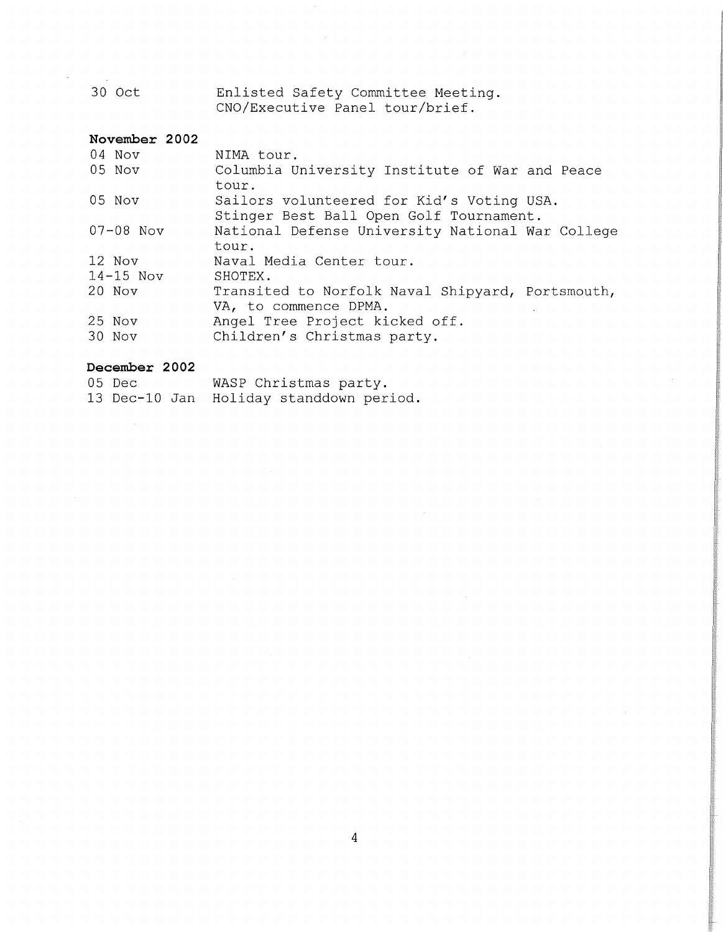30 Oct Enlisted Safety Committee Meeting. CNO/Executive Panel tour/brief.

# **November 2002**

| 04 Nov        | NIMA tour.                                                                           |
|---------------|--------------------------------------------------------------------------------------|
| 05 Nov        | Columbia University Institute of War and Peace<br>tour.                              |
| 05 Nov        | Sailors volunteered for Kid's Voting USA.<br>Stinger Best Ball Open Golf Tournament. |
| $07 - 08$ Nov | National Defense University National War College<br>tour.                            |
| 12 Nov        | Naval Media Center tour.                                                             |
| $14-15$ Nov   | SHOTEX.                                                                              |
| 20 Nov        | Transited to Norfolk Naval Shipyard, Portsmouth,<br>VA, to commence DPMA.            |
| 25 Nov        | Angel Tree Project kicked off.                                                       |
| 30 Nov        | Children's Christmas party.                                                          |

# **December 2002**

| 05 Dec | WASP Christmas party.                   |
|--------|-----------------------------------------|
|        | 13 Dec-10 Jan Holiday standdown period. |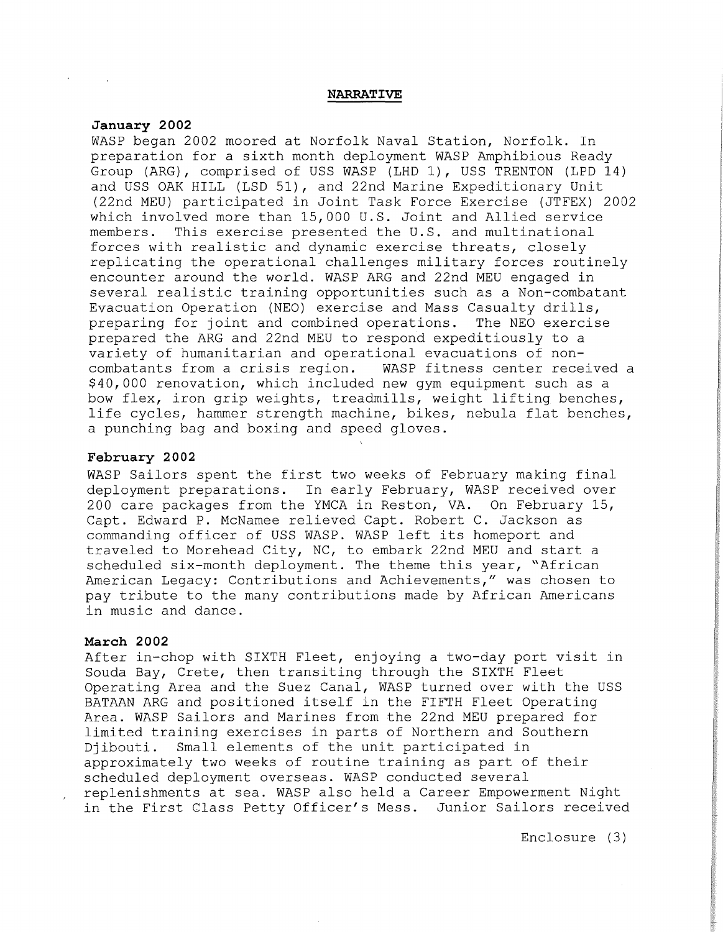#### **NARRATlVE**

# **January 2002**

WASP began 2002 moored at Norfolk Naval Station, Norfolk. In preparation for a sixth month deployment WASP Amphibious Ready Group (ARG), comprised of USS WASP (LHD 1), USS TRENTON (LPD 14) and USS OAK HILL (LSD 51), and 22nd Marine Expeditionary Unit (22nd MEU) participated in Joint Task Force Exercise {JTFEX) 2002 which involved more than 15,000 U.S. Joint and Allied service members. This exercise presented the U.S. and multinational forces with realistic and dynamic exercise threats, closely replicating the operational challenges military forces routinely encounter around the world. WASP ARG and 22nd MEU engaged in several realistic training opportunities such as a Non-combatant Evacuation Operation (NEO) exercise and Mass Casualty drills, preparing for joint and combined operations. The NEO exercise prepared the ARG and 22nd MEU to respond expeditiously to a variety of humanitarian and operational evacuations of non-WASP fitness center received a \$40,000 renovation, which included new gym equipment such as a bow flex, iron grip weights, treadmills, weight lifting benches, life cycles, hammer strength machine, bikes, nebula flat benches, a punching bag and boxing and speed gloves.

# **February 2002**

WASP Sailors spent the first two weeks of February making final deployment preparations. In early February, WASP received over 200 care packages from the YMCA in Reston, VA. On February 15, Capt. Edward P. McNamee relieved Capt. Robert C. Jackson as commanding officer of USS WASP. WASP left its homeport and traveled to Morehead City, NC, to embark 22nd MEU and start a scheduled six-month deployment. The theme this year, "African American Legacy: Contributions and Achievements," was chosen to pay tribute to the many contributions made by African Americans in music and dance.

### **March 2002**

After in-chop with SIXTH Fleet, enjoying a two-day port visit in Souda Bay, Crete, then transiting through the SIXTH Fleet Operating Area and the Suez Canal, WASP turned over with the USS BATAAN ARG and positioned itself in the FIFTH Fleet Operating Area. WASP Sailors and Marines from the 22nd MEU prepared for limited training exercises in parts of Northern and Southern Djibouti. Small elements of the unit participated in approximately two weeks of routine training as part of their scheduled deployment overseas. WASP conducted several replenishments at sea. WASP also held a Career Empowerment Night in the First Class Petty Officer's Mess. Junior Sailors received

Enclosure (3)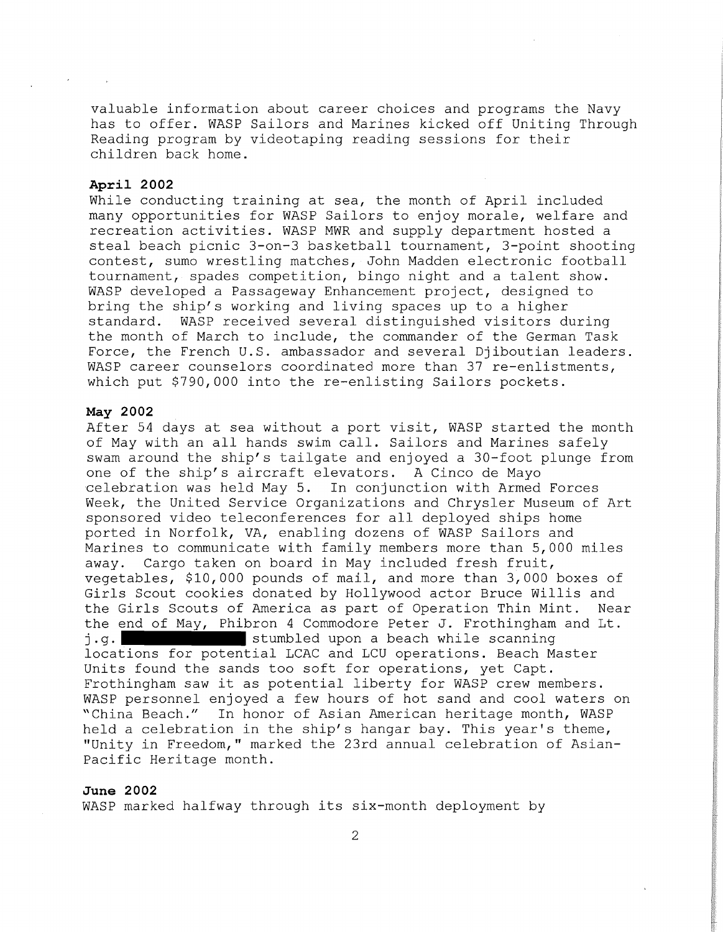valuable information about career choices and programs the Navy has to offer. WASP Sailors and Marines kicked off Uniting Through Reading program by videotaping reading sessions for their children back home.

# **April 2002**

While conducting training at sea, the month of April included many opportunities for WASP Sailors to enjoy morale, welfare and recreation activities. WASP MWR and supply department hosted a steal beach picnic 3-on-3 basketball tournament, 3-point shooting contest, sumo wrestling matches, John Madden electronic football tournament, spades competition, bingo night and a talent show. WASP developed a Passageway Enhancement project, designed to bring the ship's working and living spaces up to a higher standard. WASP received several distinguished visitors during the month of March to include, the commander of the German Task Force, the French U.S. ambassador and several Diiboutian leaders. WASP career counselors coordinated more than 37 re-enlistments, which put \$790,000 into the re-enlisting Sailors pockets.

### **May 2002**

After 54 days at sea without a port visit, WASP started the month of May with an all hands swim call. Sailors and Marines safely swam around the ship's tailgate and enjoyed a 30-foot plunge from one of the ship's aircraft elevators. A Cinco de Mayo celebration was held May 5. In conjunction with Armed Forces Week, the United Service Organizations and Chrysler Museum of Art sponsored video teleconferences for all deployed ships home ported in Norfolk, VA, enabling dozens of WASP Sailors and Marines to communicate with family members more than 5,000 miles away. Cargo taken on board in May included fresh fruit, vegetables, \$10,000 pounds of mail, and more than 3,000 boxes of Girls Scout cookies donated by Hollywood actor Bruce Willis and the Girls Scouts of America as part of Operation Thin Mint. Near the end of May, Phibron 4 Commodore Peter J. Frothingham and Lt. j.g. stumbled upon a beach while scanning locations for potential LCAC and LCU operations. Beach Master Units found the sands too soft for operations, yet Capt. Frothingham saw it as potential liberty for WASP crew members. WASP personnel enjoyed a few hours of hot sand and cool waters on "China Beach." In honor of Asian American heritage month, WASP held a celebration in the ship's hangar bay. This year's theme, "Unity in Freedom,'' marked the 23rd annual celebration of Asian-Pacific Heritage month.

#### **June 2002**

WASP marked halfway through its six-month deployment by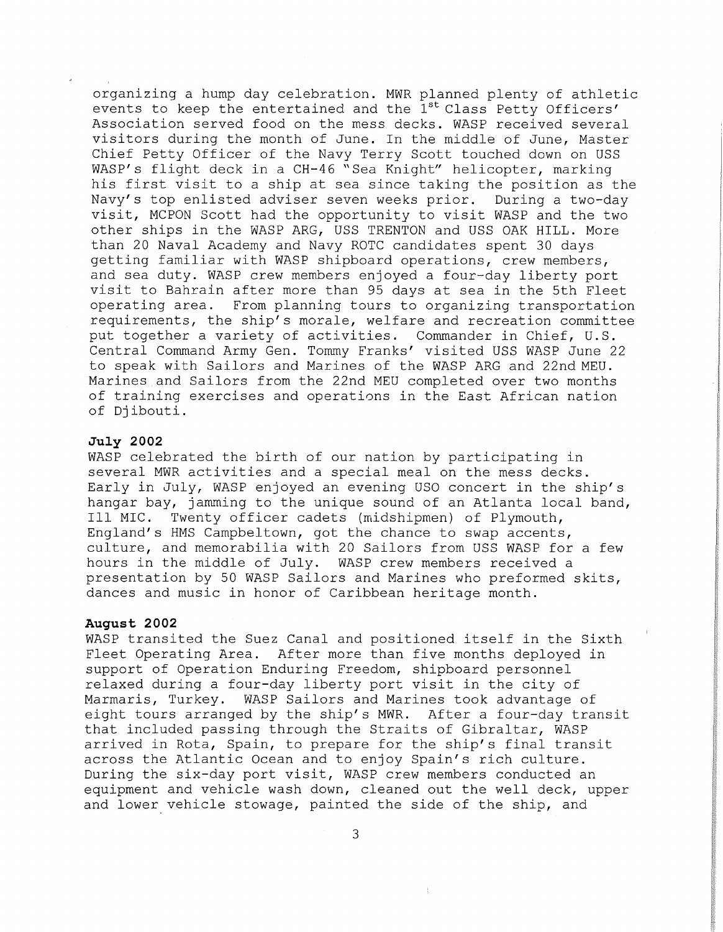organizing a hump day celebration. MWR planned plenty of athletic events to keep the entertained and the 1<sup>st</sup> Class Petty Officers' Association served food on the mess decks. WASP received several visitors during the month of June. In the middle of June, Master Chief Petty Officer of the Navy Terry Scott touched down on USS WASP's flight deck in a CH-46 "Sea Knight" helicopter, marking his first visit to a ship at sea since taking the position as the Navy's top enlisted adviser seven weeks prior. During a two-day visit, MCPON Scott had the opportunity to visit WASP and the two other ships in the WASP ARG, USS TRENTON and USS OAK HILL. More than 20 Naval Academy and Navy ROTC candidates spent 30 days getting familiar with WASP shipboard operations, crew members, and sea duty. WASP crew members enjoyed a four-day liberty port visit to Bahrain after more than 95 days at sea in the 5th Fleet operating area. From planning tours to organizing transportation requirements, the ship's morale, welfare and recreation committee put together a variety of activities. Commander in Chief, U.S. Central Command Army Gen. Tommy Franks' visited USS WASP June 22 to speak with Sailors and Marines of the WASP ARG and 22nd MEU. Marines and Sailors from the 22nd MEU completed over two months of training exercises and operations in the East African nation of Djibouti.

#### **July 2002**

WASP celebrated the birth of our nation by participating in several MWR activities and a special meal on the mess decks. Early in July, WASP enjoyed an evening USO concert in the ship's hangar bay, jamming to the unique sound of an Atlanta local band, Ill MIC. Twenty officer cadets (midshipmen) of Plymouth, England's HMS Campbeltown, got the chance to swap accents, culture, and memorabilia with 20 Sailors from USS WASP for a few hours in the middle of July. WASP crew members received a presentation by 50 WASP Sailors and Marines who preformed skits, dances and music in honor of Caribbean heritage month.

#### **August 2002**

WASP transited the Suez Canal and positioned itself in the Sixth Fleet Operating Area. After more than five months deployed in support of Operation Enduring Freedom, shipboard personnel relaxed during a four-day liberty port visit in the city of Marmaris, Turkey. WASP Sailors and Marines took advantage of eight tours arranged by the ship's MWR. After a four-day transit that included passing through the Straits of Gibraltar, WASP arrived in Rota, Spain, to prepare for the ship's final transit across the Atlantic Ocean and to enjoy Spain's rich culture. During the six-day port visit, WASP crew members conducted an equipment and vehicle wash down, cleaned out the well deck, upper and lower vehicle stowage, painted the side of the ship, and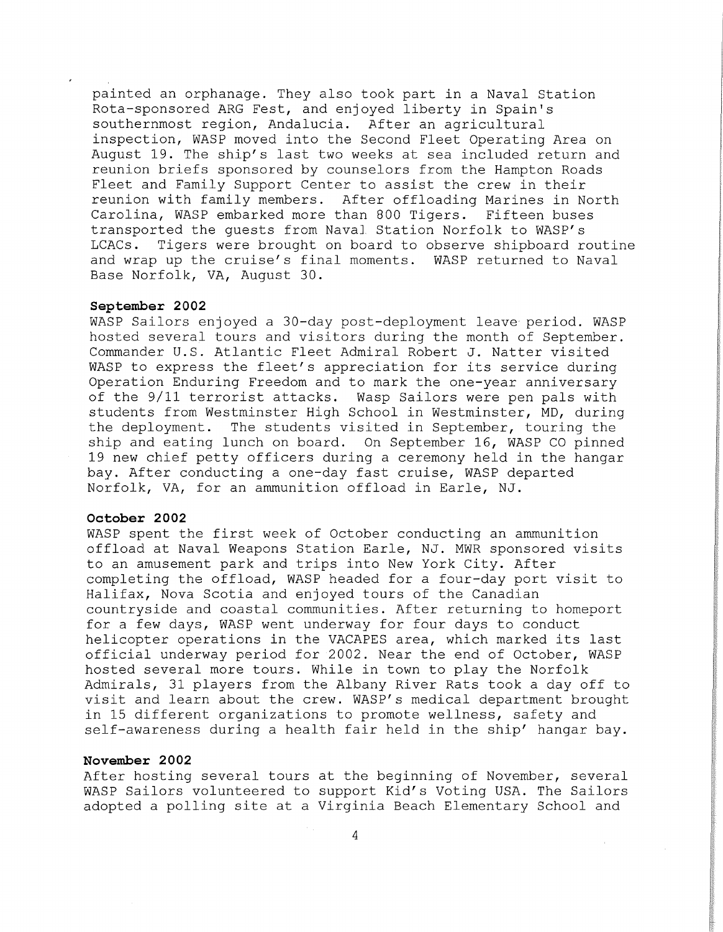painted an orphanage. They also took part in a Naval Station Rota-sponsored ARG Fest, and enjoyed liberty in Spain's southernmost region, Andalucia. After an agricultural inspection, WASP moved into the Second Fleet Operating Area on August 19. The ship's last two weeks at sea included return and reunion briefs sponsored by counselors from the Hampton Roads Fleet and Family Support Center to assist the crew in their reunion with family members. After offloading Marines in North Carolina, WASP embarked more than 800 Tigers. Fifteen buses transported the guests from Naval Station Norfolk to WASP's LCACs. Tigers were brought on board to observe shipboard routine and wrap up the cruise's final moments. WASP returned to Naval Base Norfolk, VA, August 30.

#### **September 2002**

WASP Sailors enjoyed a 30-day post-deployment leave period. WASP hosted several tours and visitors during the month of September. Commander U.S. Atlantic Fleet Admiral Robert J. Natter visited WASP to express the fleet's appreciation for its service during Operation Enduring Freedom and to mark the one-year anniversary of the 9/11 terrorist attacks. Wasp Sailors were pen pals with students from Westminster High School in Westminster, MD, during the deployment. The students visited in September, touring the ship and eating lunch on board. On September 16, WASP CO pinned 19 new chief petty officers during a ceremony held in the hangar bay. After conducting a one-day fast cruise, WASP departed Norfolk, VA, for an ammunition offload in Earle, NJ.

#### **October 2002**

WASP spent the first week of October conducting an ammunition offload at Naval Weapons Station Earle, NJ. MWR sponsored visits to an amusement park and trips into New York City. After completing the offload, WASP headed for a four-day port visit to Halifax, Nova Scotia and enjoyed tours of the Canadian countryside and coastal communities. After returning to homeport for a few days, WASP went underway for four days to conduct helicopter operations in the VACAPES area, which marked its last official underway period for 2002. Near the end of October, WASP hosted several more tours. While in town to play the Norfolk Admirals, 31 players from the Albany River Rats took a day off to visit and learn about the crew. WASP's medical department brought in 15 different organizations to promote wellness, safety and self-awareness during a health fair held in the ship' hangar bay.

## **November 2002**

After hosting several tours at the beginning of November, several WASP Sailors volunteered to support Kid's Voting USA. The Sailors adopted a polling site at a Virginia Beach Elementary School and